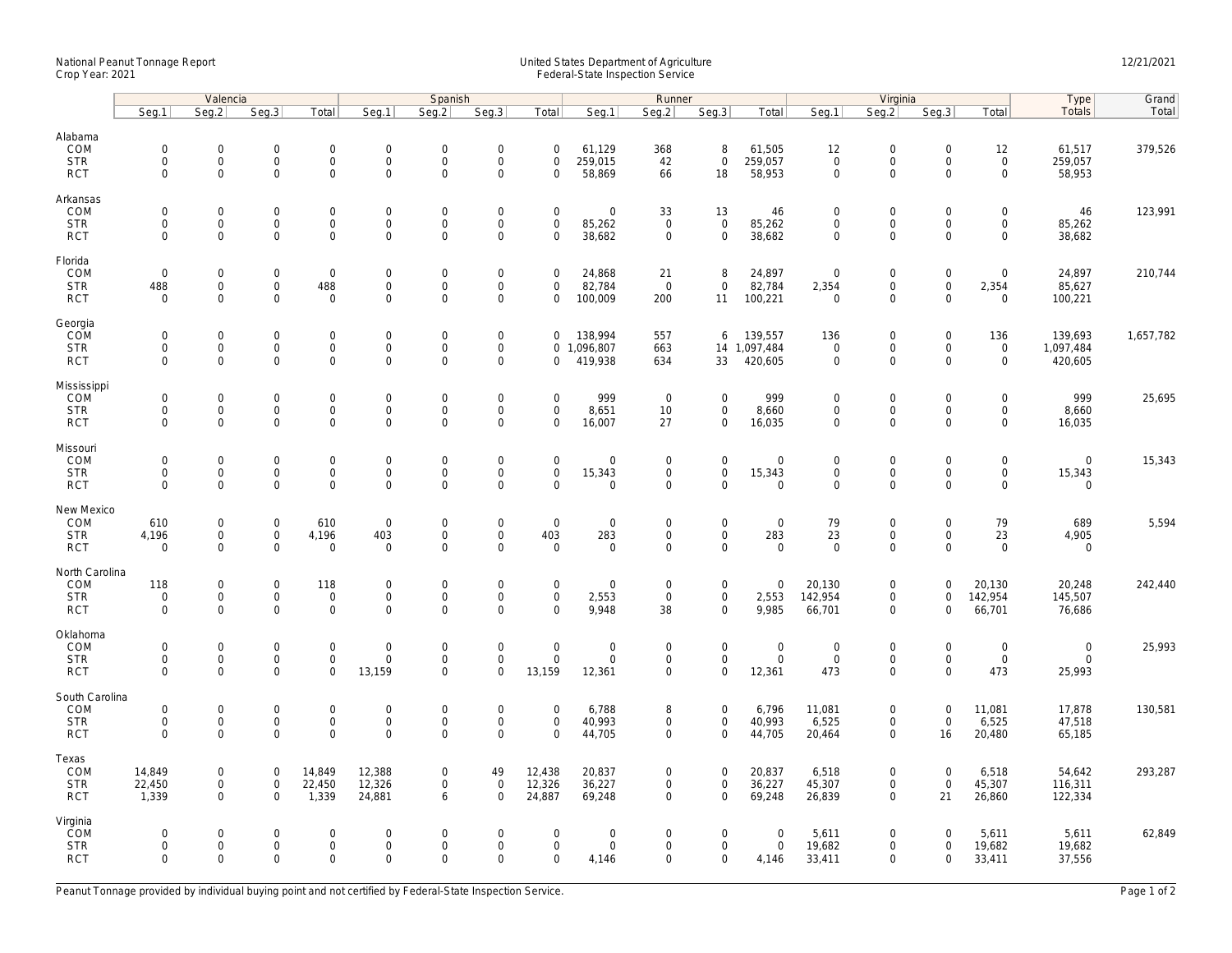## National Peanut Tonnage Report United States Department of Agriculture 12/21/2021<br>Crop Year: 2021 Federal-State Inspection Service

|                                                    | Valencia                                  |                                                            |                                                   |                                                            | Spanish                                         |                                                   |                                                           |                                                   | Runner                                               |                                                   |                                                    |                                           | Virginia                                          |                                                                   |                                                        |                                                            | Type                                  | Grand     |
|----------------------------------------------------|-------------------------------------------|------------------------------------------------------------|---------------------------------------------------|------------------------------------------------------------|-------------------------------------------------|---------------------------------------------------|-----------------------------------------------------------|---------------------------------------------------|------------------------------------------------------|---------------------------------------------------|----------------------------------------------------|-------------------------------------------|---------------------------------------------------|-------------------------------------------------------------------|--------------------------------------------------------|------------------------------------------------------------|---------------------------------------|-----------|
|                                                    | Seq.1                                     | Seg.2                                                      | Seq.3                                             | Total                                                      | Seg.1                                           | Seq.2                                             | Seq.3                                                     | Total                                             | Seg.1                                                | Seq.2                                             | Seq.3                                              | Total                                     | Seg.1                                             | Seq.2                                                             | Seq.3                                                  | Total                                                      | Totals                                | Total     |
| Alabama<br>COM<br><b>STR</b><br><b>RCT</b>         | $\mathbf 0$<br>$\mathbf 0$<br>$\mathbf 0$ | $\mathbf 0$<br>0<br>$\mathbf 0$                            | $\mathbf 0$<br>$\mathsf{O}\xspace$<br>$\mathbf 0$ | $\mathbf 0$<br>$\mathsf{O}\xspace$<br>$\mathsf{O}$         | $\mathsf{O}$<br>$\mathsf{O}$<br>$\mathsf{O}$    | $\mathbf 0$<br>$\mathsf{O}\xspace$<br>$\mathbf 0$ | $\mathbf 0$<br>$\mathsf{O}\xspace$<br>$\mathbf 0$         | $\mathbf 0$<br>$\mathsf{O}\xspace$<br>$\mathbf 0$ | 61,129<br>259,015<br>58,869                          | 368<br>42<br>66                                   | 8<br>$\mathsf 0$<br>18                             | 61,505<br>259,057<br>58,953               | 12<br>$\mathsf{O}\xspace$<br>$\mathbf 0$          | $\mathbf 0$<br>$\mathsf{O}$<br>$\mathbf 0$                        | $\mathbf 0$<br>$\mathsf{O}\xspace$<br>$\mathbf 0$      | 12<br>$\mathsf{O}\xspace$<br>$\mathsf{O}\xspace$           | 61,517<br>259,057<br>58,953           | 379,526   |
| Arkansas<br>COM<br><b>STR</b><br><b>RCT</b>        | $\mathbf 0$<br>$\mathbf 0$<br>$\mathbf 0$ | $\mathsf{O}\xspace$<br>0<br>$\mathbf 0$                    | $\mathbf 0$<br>$\mathbf 0$<br>$\mathbf 0$         | $\mathsf{O}\xspace$<br>$\mathbf 0$<br>$\mathbf 0$          | $\mathbf 0$<br>$\mathsf{O}$<br>$\mathsf{O}$     | $\mathbf 0$<br>$\mathbf 0$<br>$\mathbf 0$         | $\mathsf{O}\xspace$<br>$\mathsf 0$<br>$\mathsf 0$         | $\mathsf{O}\xspace$<br>$\mathbf 0$<br>$\mathbf 0$ | $\mathsf{O}\xspace$<br>85,262<br>38,682              | 33<br>$\mathbf 0$<br>$\mathbf 0$                  | 13<br>$\mathsf 0$<br>$\mathbf 0$                   | 46<br>85,262<br>38,682                    | $\mathbf 0$<br>$\mathbf 0$<br>$\mathbf 0$         | $\mathsf{O}\xspace$<br>$\mathsf{O}$<br>$\mathsf{O}\xspace$        | $\mathbf 0$<br>$\mathbf 0$<br>$\mathbf 0$              | $\mathsf{O}\xspace$<br>$\mathsf{O}$<br>$\mathbf 0$         | 46<br>85,262<br>38,682                | 123,991   |
| Florida<br>COM<br><b>STR</b><br><b>RCT</b>         | $\mathbf 0$<br>488<br>$\mathbf 0$         | $\mathbf 0$<br>$\mathsf{O}$<br>$\mathbf 0$                 | $\mathbf 0$<br>$\mathsf{O}\xspace$<br>$\Omega$    | $\mathsf 0$<br>488<br>$\mathbf 0$                          | $\boldsymbol{0}$<br>$\mathsf{O}$<br>$\mathbf 0$ | $\mathbf 0$<br>$\mathsf 0$<br>$\mathbf 0$         | $\mathsf{O}\xspace$<br>$\mathsf 0$<br>$\mathbf 0$         | $\mathbf 0$<br>$\mathbf 0$<br>$\mathbf 0$         | 24,868<br>82,784<br>100,009                          | 21<br>$\mathbf 0$<br>200                          | 8<br>$\mathbf 0$<br>11                             | 24,897<br>82,784<br>100,221               | $\mathbf 0$<br>2,354<br>$\overline{0}$            | $\mathbf 0$<br>$\mathsf{O}$<br>$\mathbf 0$                        | $\mathsf{O}\xspace$<br>$\mathsf{O}\xspace$<br>$\Omega$ | $\mathbf 0$<br>2,354<br>$\mathbf 0$                        | 24,897<br>85,627<br>100,221           | 210,744   |
| Georgia<br>COM<br><b>STR</b><br><b>RCT</b>         | $\mathbf 0$<br>$\mathbf 0$<br>$\mathbf 0$ | $\mathbf 0$<br>$\mathsf{O}\xspace$<br>$\mathbf 0$          | $\mathbf 0$<br>$\mathbf 0$<br>$\mathbf 0$         | $\mathsf{O}\xspace$<br>$\mathbf 0$<br>$\mathbf 0$          | $\boldsymbol{0}$<br>$\mathbf 0$<br>$\mathbf 0$  | $\mathbf 0$<br>$\mathsf 0$<br>$\mathbf 0$         | $\mathsf{O}\xspace$<br>$\mathsf{O}\xspace$<br>$\mathbf 0$ | 0<br>0                                            | 138,994<br>0 1,096,807<br>419,938                    | 557<br>663<br>634                                 | 6<br>14<br>33                                      | 139,557<br>1,097,484<br>420,605           | 136<br>$\mathbf 0$<br>$\mathbf 0$                 | $\mathsf{O}\xspace$<br>$\mathsf{O}\xspace$<br>$\mathbf 0$         | $\mathsf 0$<br>$\mathsf 0$<br>$\Omega$                 | 136<br>$\mathbf 0$<br>$\mathbf 0$                          | 139,693<br>1,097,484<br>420,605       | 1,657,782 |
| Mississippi<br>COM<br><b>STR</b><br><b>RCT</b>     | $\mathbf 0$<br>$\mathbf 0$<br>$\mathbf 0$ | $\mathbf 0$<br>$\mathsf{O}\xspace$<br>$\mathbf{0}$         | $\mathbf 0$<br>$\mathbf 0$<br>$\mathbf 0$         | $\mathbf 0$<br>$\mathsf{O}\xspace$<br>$\mathbf 0$          | $\mathsf{O}$<br>$\mathsf{O}$<br>$\mathbf 0$     | $\mathbf 0$<br>$\mathsf 0$<br>$\mathbf 0$         | $\mathsf{O}\xspace$<br>$\mathsf{O}\xspace$<br>$\mathbf 0$ | $\mathbf 0$<br>$\mathbf 0$<br>$\mathbf 0$         | 999<br>8,651<br>16,007                               | $\overline{0}$<br>10<br>27                        | $\mathbf 0$<br>$\mathbf 0$<br>$\mathbf 0$          | 999<br>8,660<br>16,035                    | $\mathbf 0$<br>$\mathsf{O}\xspace$<br>$\mathbf 0$ | $\mathbf 0$<br>$\mathsf{O}\xspace$<br>$\mathbf 0$                 | $\mathbf 0$<br>$\mathbf 0$<br>$\Omega$                 | $\mathbf 0$<br>$\mathbf 0$<br>$\mathbf 0$                  | 999<br>8,660<br>16,035                | 25,695    |
| Missouri<br>COM<br><b>STR</b><br><b>RCT</b>        | $\mathbf 0$<br>$\mathbf 0$<br>$\mathbf 0$ | $\mathsf{O}\xspace$<br>$\mathsf{O}\xspace$<br>$\mathbf 0$  | $\mathbf 0$<br>$\mathbf 0$<br>$\mathbf 0$         | $\mathsf{O}\xspace$<br>$\mathsf{O}\xspace$<br>$\mathbf 0$  | $\mathbf 0$<br>$\boldsymbol{0}$<br>$\mathbf 0$  | $\mathbf 0$<br>$\mathbf 0$<br>$\mathbf 0$         | $\mathsf{O}\xspace$<br>$\mathsf{O}\xspace$<br>$\mathbf 0$ | $\mathsf 0$<br>$\mathsf{O}\xspace$<br>$\mathbf 0$ | $\mathsf{O}\xspace$<br>15,343<br>$\mathbf 0$         | $\mathsf 0$<br>$\mathsf{O}\xspace$<br>$\mathbf 0$ | $\mathbf 0$<br>$\mathsf{O}\xspace$<br>$\mathbf{0}$ | $\mathbf 0$<br>15,343<br>$\mathbf{0}$     | $\mathbf 0$<br>$\mathsf{O}\xspace$<br>$\mathbf 0$ | $\mathbf 0$<br>$\mathsf{O}\xspace$<br>$\mathbf 0$                 | $\mathsf 0$<br>$\mathbf 0$<br>$\mathbf 0$              | $\mathsf{O}\xspace$<br>$\mathsf{O}\xspace$<br>$\mathbf{0}$ | $\mathbf{0}$<br>15,343<br>$\mathbf 0$ | 15,343    |
| New Mexico<br>COM<br><b>STR</b><br><b>RCT</b>      | 610<br>4,196<br>$\mathbf 0$               | $\mathbf 0$<br>$\mathbf 0$<br>$\mathbf 0$                  | $\mathbf 0$<br>$\mathbf 0$<br>$\mathbf 0$         | 610<br>4,196<br>$\mathbf 0$                                | $\mathbf 0$<br>403<br>$\mathbf 0$               | $\mathbf 0$<br>$\mathbf 0$<br>0                   | $\mathsf{O}\xspace$<br>$\mathbf 0$<br>$\mathsf{O}\xspace$ | $\mathsf 0$<br>403<br>$\mathbf 0$                 | $\mathbf 0$<br>283<br>$\mathbf 0$                    | $\mathbf 0$<br>$\mathbf 0$<br>0                   | $\mathbf 0$<br>$\mathbf{0}$<br>$\mathbf 0$         | $\mathbf 0$<br>283<br>$\mathbf 0$         | 79<br>23<br>$\mathbf 0$                           | $\mathbf 0$<br>$\mathsf{O}\xspace$<br>$\mathsf{O}\xspace$         | $\mathbf 0$<br>$\mathbf 0$<br>$\Omega$                 | 79<br>23<br>$\mathbf 0$                                    | 689<br>4,905<br>$\mathbf 0$           | 5,594     |
| North Carolina<br>COM<br><b>STR</b><br><b>RCT</b>  | 118<br>$\mathbf 0$<br>$\mathbf 0$         | $\mathsf{O}\xspace$<br>$\mathsf{O}\xspace$<br>$\mathbf{0}$ | $\mathbf 0$<br>$\mathsf{O}\xspace$<br>$\mathbf 0$ | 118<br>$\mathbf 0$<br>$\mathbf 0$                          | $\mathbf 0$<br>$\mathsf{O}$<br>$\mathbf{0}$     | $\mathbf 0$<br>$\mathbf 0$<br>$\mathbf 0$         | $\mathsf{O}\xspace$<br>$\mathsf{O}\xspace$<br>$\mathbf 0$ | $\mathsf 0$<br>$\mathsf 0$<br>$\Omega$            | $\mathbf 0$<br>2,553<br>9,948                        | $\mathbf 0$<br>$\mathbf 0$<br>38                  | $\mathsf{O}\xspace$<br>$\mathbf 0$<br>$\mathbf{0}$ | $\mathbf 0$<br>2,553<br>9,985             | 20,130<br>142,954<br>66,701                       | $\mathsf{O}\xspace$<br>$\mathsf{O}\xspace$<br>$\mathbf 0$         | $\mathsf 0$<br>$\mathbf 0$<br>0                        | 20,130<br>142,954<br>66,701                                | 20,248<br>145,507<br>76,686           | 242,440   |
| Oklahoma<br>COM<br><b>STR</b><br><b>RCT</b>        | $\mathbf 0$<br>$\mathbf 0$<br>$\Omega$    | 0<br>$\mathsf{O}\xspace$<br>$\mathbf 0$                    | $\mathbf 0$<br>$\mathbf 0$<br>$\mathbf 0$         | $\mathsf{O}\xspace$<br>$\mathbf 0$<br>$\mathbf{O}$         | $\boldsymbol{0}$<br>$\mathbf 0$<br>13,159       | $\mathbf 0$<br>$\mathbf 0$<br>$\Omega$            | $\mathsf{O}\xspace$<br>$\mathsf 0$<br>$\mathbf 0$         | $\mathbf 0$<br>$\mathbf 0$<br>13,159              | $\mathsf{O}\xspace$<br>$\mathsf{O}\xspace$<br>12,361 | $\mathbf 0$<br>$\mathbf 0$<br>$\mathbf 0$         | $\mathsf{O}\xspace$<br>$\mathbf 0$<br>$\mathbf 0$  | $\boldsymbol{0}$<br>$\mathbf 0$<br>12,361 | $\mathbf 0$<br>$\mathsf{O}\xspace$<br>473         | $\mathsf{O}\xspace$<br>$\mathsf{O}\xspace$<br>$\mathsf{O}\xspace$ | $\mathbf 0$<br>$\mathbf 0$<br>$\Omega$                 | $\mathsf{O}\xspace$<br>$\mathbf 0$<br>473                  | $\mathbf 0$<br>$\mathbf 0$<br>25,993  | 25,993    |
| South Carolina<br>COM<br><b>STR</b><br><b>RCT</b>  | $\mathbf 0$<br>$\mathbf 0$<br>$\mathbf 0$ | $\mathsf{O}\xspace$<br>$\mathsf{O}\xspace$<br>$\mathbf 0$  | $\mathbf 0$<br>$\mathsf 0$<br>$\mathbf 0$         | $\mathsf{O}\xspace$<br>$\mathsf{O}\xspace$<br>$\mathbf{O}$ | $\mathbf 0$<br>$\mathbf 0$<br>$\mathbf 0$       | $\mathbf 0$<br>$\mathbf 0$<br>$\mathbf 0$         | $\mathsf{O}\xspace$<br>$\mathsf{O}\xspace$<br>$\mathbf 0$ | $\mathbf 0$<br>$\mathsf 0$<br>$\Omega$            | 6,788<br>40,993<br>44,705                            | 8<br>$\mathbf 0$<br>$\mathbf 0$                   | $\mathsf{O}\xspace$<br>$\mathbf 0$<br>$\mathbf 0$  | 6,796<br>40,993<br>44,705                 | 11,081<br>6,525<br>20,464                         | $\mathsf{O}\xspace$<br>$\mathsf{O}\xspace$<br>$\mathbf 0$         | $\mathbf 0$<br>$\mathsf 0$<br>16                       | 11,081<br>6,525<br>20,480                                  | 17,878<br>47,518<br>65,185            | 130,581   |
| Texas<br>COM<br><b>STR</b><br><b>RCT</b>           | 14,849<br>22,450<br>1,339                 | $\mathsf{O}\xspace$<br>$\mathbf 0$<br>$\mathbf{0}$         | $\mathsf{O}\xspace$<br>$\mathbf 0$<br>$\mathbf 0$ | 14,849<br>22,450<br>1,339                                  | 12,388<br>12,326<br>24,881                      | $\mathbf 0$<br>$\mathbf{0}$<br>6                  | 49<br>$\mathbf 0$<br>$\mathbf 0$                          | 12,438<br>12,326<br>24,887                        | 20,837<br>36,227<br>69,248                           | 0<br>$\mathbf 0$<br>$\mathbf 0$                   | $\mathbf 0$<br>$\mathbf{0}$<br>$\mathbf{0}$        | 20,837<br>36,227<br>69,248                | 6,518<br>45,307<br>26,839                         | $\mathsf{O}\xspace$<br>$\mathbf 0$<br>$\mathbf 0$                 | $\mathbf 0$<br>$\mathbf 0$<br>21                       | 6,518<br>45,307<br>26,860                                  | 54,642<br>116,311<br>122,334          | 293,287   |
| Virginia<br><b>COM</b><br><b>STR</b><br><b>RCT</b> | $\mathbf 0$<br>$\mathbf 0$<br>$\Omega$    | $\mathsf{O}\xspace$<br>$\mathsf{O}\xspace$<br>$\Omega$     | $\mathbf 0$<br>$\mathbf 0$<br>$\Omega$            | $\mathsf{O}\xspace$<br>$\mathsf{O}\xspace$<br>$\mathbf 0$  | $\mathbf 0$<br>$\mathbf 0$<br>$\Omega$          | $\mathbf 0$<br>$\mathbf 0$<br>$\Omega$            | $\mathsf{O}\xspace$<br>$\mathsf{O}\xspace$<br>$\Omega$    | $\mathbf 0$<br>$\mathbf 0$<br>$\Omega$            | $\mathsf{O}\xspace$<br>$\mathsf{O}\xspace$<br>4,146  | 0<br>0<br>$\Omega$                                | $\mathbf 0$<br>$\mathbf 0$<br>$\mathbf 0$          | $\mathbf 0$<br>$\mathbf 0$<br>4,146       | 5,611<br>19,682<br>33,411                         | $\mathsf{O}\xspace$<br>$\mathsf{O}\xspace$<br>$\Omega$            | $\mathbf 0$<br>$\mathbf 0$<br>$\Omega$                 | 5,611<br>19,682<br>33,411                                  | 5,611<br>19,682<br>37,556             | 62,849    |

Peanut Tonnage provided by individual buying point and not certified by Federal-State Inspection Service. Page 1 of 2